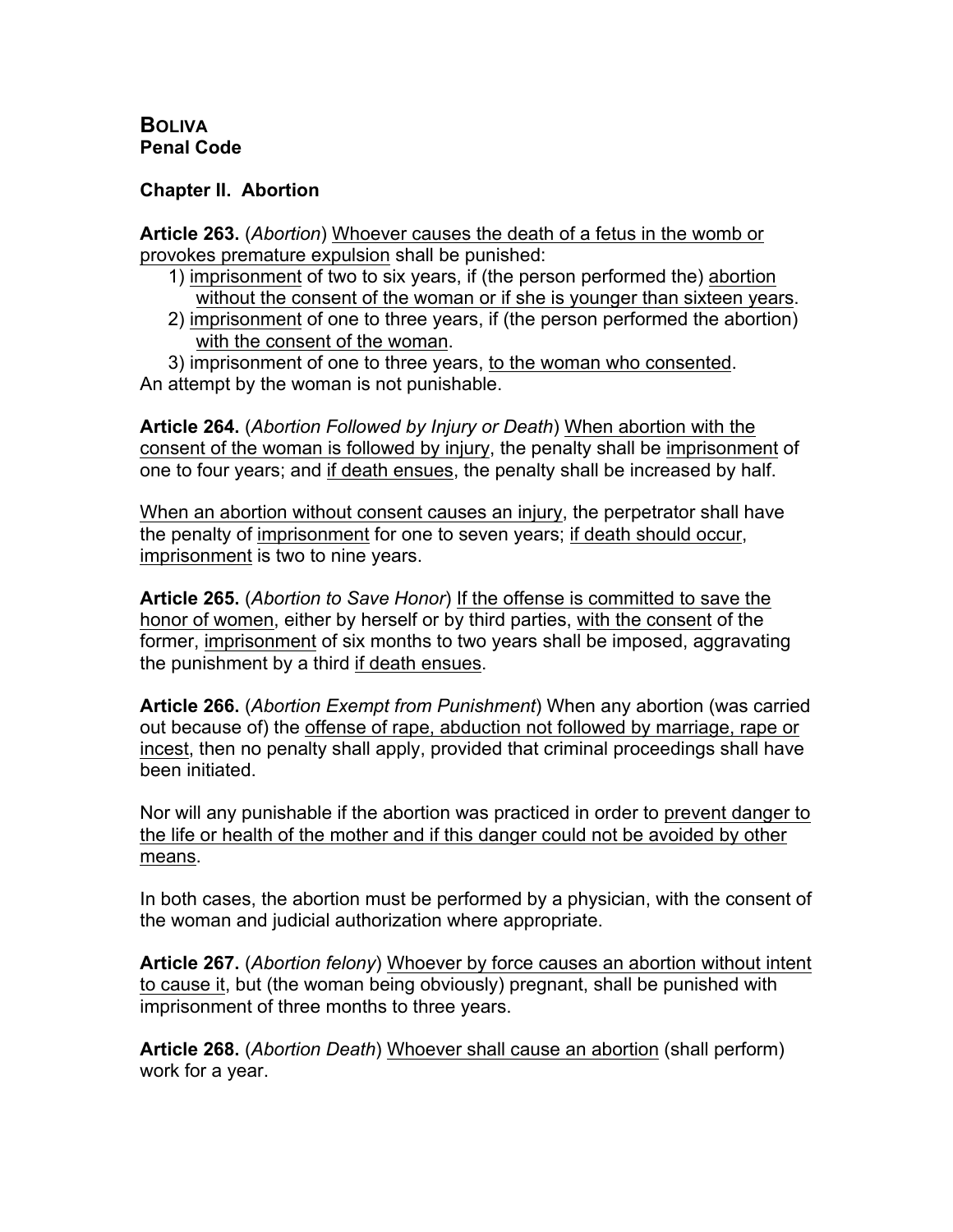## **BOLIVA Penal Code**

## **Chapter II. Abortion**

**Article 263.** (*Abortion*) Whoever causes the death of a fetus in the womb or provokes premature expulsion shall be punished:

- 1) imprisonment of two to six years, if (the person performed the) abortion without the consent of the woman or if she is younger than sixteen years.
- 2) imprisonment of one to three years, if (the person performed the abortion) with the consent of the woman.

3) imprisonment of one to three years, to the woman who consented. An attempt by the woman is not punishable.

**Article 264.** (*Abortion Followed by Injury or Death*) When abortion with the consent of the woman is followed by injury, the penalty shall be imprisonment of one to four years; and if death ensues, the penalty shall be increased by half.

When an abortion without consent causes an injury, the perpetrator shall have the penalty of imprisonment for one to seven years; if death should occur, imprisonment is two to nine years.

**Article 265.** (*Abortion to Save Honor*) If the offense is committed to save the honor of women, either by herself or by third parties, with the consent of the former, imprisonment of six months to two years shall be imposed, aggravating the punishment by a third if death ensues.

**Article 266.** (*Abortion Exempt from Punishment*) When any abortion (was carried out because of) the offense of rape, abduction not followed by marriage, rape or incest, then no penalty shall apply, provided that criminal proceedings shall have been initiated.

Nor will any punishable if the abortion was practiced in order to prevent danger to the life or health of the mother and if this danger could not be avoided by other means.

In both cases, the abortion must be performed by a physician, with the consent of the woman and judicial authorization where appropriate.

**Article 267.** (*Abortion felony*) Whoever by force causes an abortion without intent to cause it, but (the woman being obviously) pregnant, shall be punished with imprisonment of three months to three years.

**Article 268.** (*Abortion Death*) Whoever shall cause an abortion (shall perform) work for a year.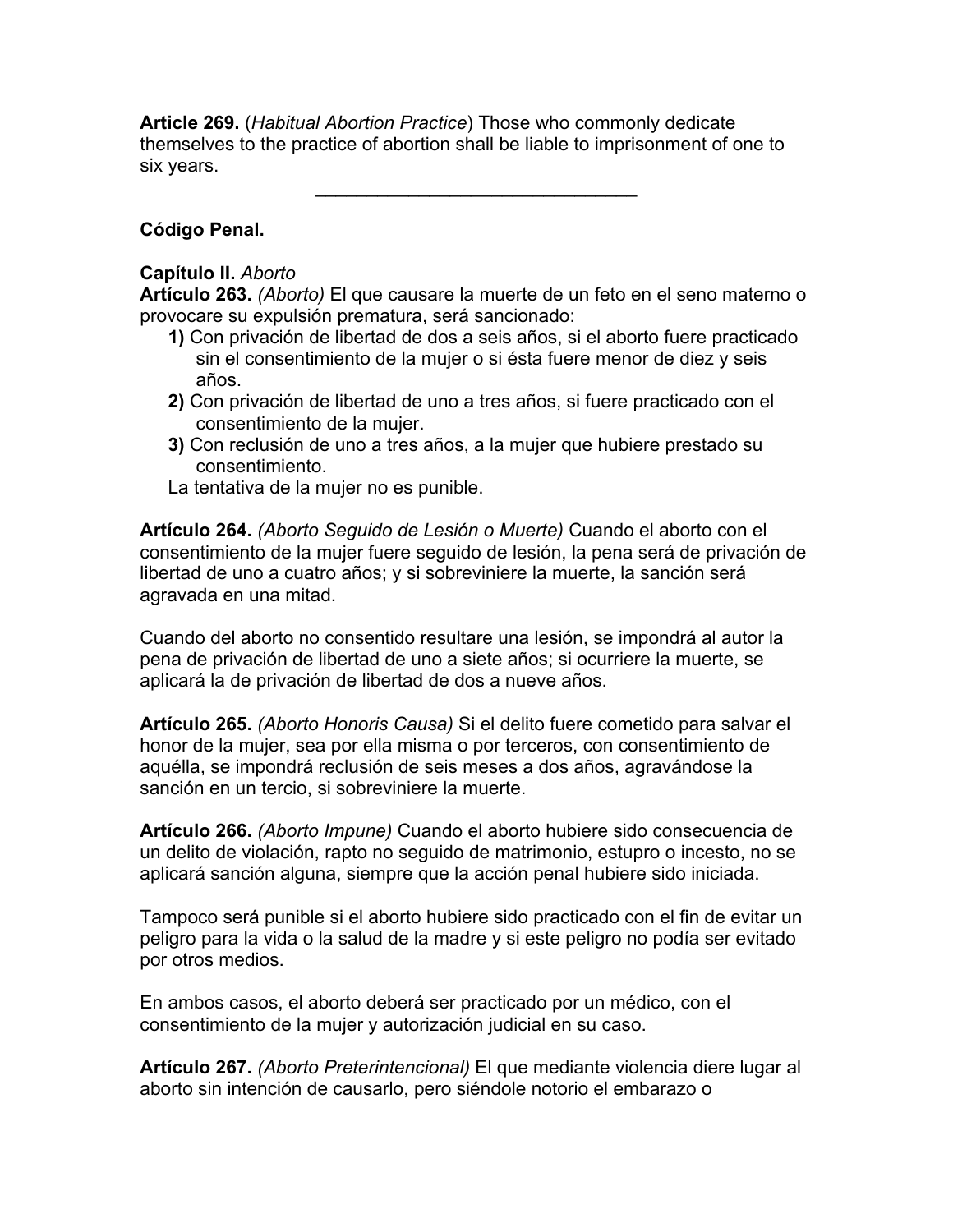**Article 269.** (*Habitual Abortion Practice*) Those who commonly dedicate themselves to the practice of abortion shall be liable to imprisonment of one to six years.

 $\mathcal{L}_\text{max}$  and  $\mathcal{L}_\text{max}$  and  $\mathcal{L}_\text{max}$ 

## **Código Penal.**

## **Capítulo II.** *Aborto*

**Artículo 263.** *(Aborto)* El que causare la muerte de un feto en el seno materno o provocare su expulsión prematura, será sancionado:

- **1)** Con privación de libertad de dos a seis años, si el aborto fuere practicado sin el consentimiento de la mujer o si ésta fuere menor de diez y seis años.
- **2)** Con privación de libertad de uno a tres años, si fuere practicado con el consentimiento de la mujer.
- **3)** Con reclusión de uno a tres años, a la mujer que hubiere prestado su consentimiento.
- La tentativa de la mujer no es punible.

**Artículo 264.** *(Aborto Seguido de Lesión o Muerte)* Cuando el aborto con el consentimiento de la mujer fuere seguido de lesión, la pena será de privación de libertad de uno a cuatro años; y si sobreviniere la muerte, la sanción será agravada en una mitad.

Cuando del aborto no consentido resultare una lesión, se impondrá al autor la pena de privación de libertad de uno a siete años; si ocurriere la muerte, se aplicará la de privación de libertad de dos a nueve años.

**Artículo 265.** *(Aborto Honoris Causa)* Si el delito fuere cometido para salvar el honor de la mujer, sea por ella misma o por terceros, con consentimiento de aquélla, se impondrá reclusión de seis meses a dos años, agravándose la sanción en un tercio, si sobreviniere la muerte.

**Artículo 266.** *(Aborto Impune)* Cuando el aborto hubiere sido consecuencia de un delito de violación, rapto no seguido de matrimonio, estupro o incesto, no se aplicará sanción alguna, siempre que la acción penal hubiere sido iniciada.

Tampoco será punible si el aborto hubiere sido practicado con el fin de evitar un peligro para la vida o la salud de la madre y si este peligro no podía ser evitado por otros medios.

En ambos casos, el aborto deberá ser practicado por un médico, con el consentimiento de la mujer y autorización judicial en su caso.

**Artículo 267.** *(Aborto Preterintencional)* El que mediante violencia diere lugar al aborto sin intención de causarlo, pero siéndole notorio el embarazo o